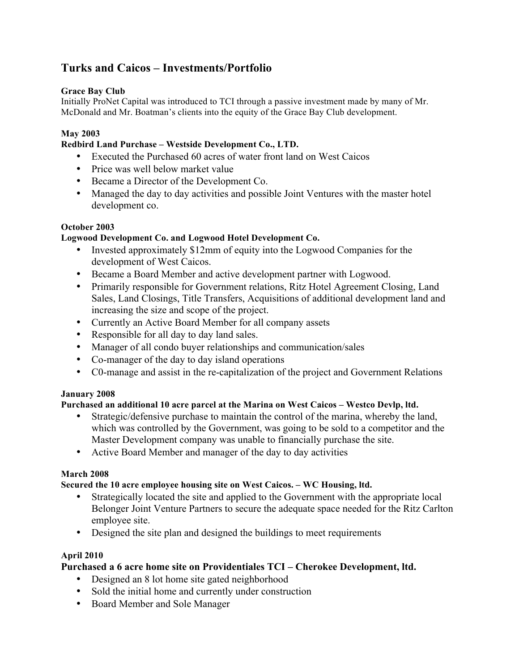# **Turks and Caicos – Investments/Portfolio**

## **Grace Bay Club**

Initially ProNet Capital was introduced to TCI through a passive investment made by many of Mr. McDonald and Mr. Boatman's clients into the equity of the Grace Bay Club development.

## **May 2003**

## **Redbird Land Purchase – Westside Development Co., LTD.**

- Executed the Purchased 60 acres of water front land on West Caicos
- Price was well below market value
- Became a Director of the Development Co.
- Managed the day to day activities and possible Joint Ventures with the master hotel development co.

#### **October 2003**

## **Logwood Development Co. and Logwood Hotel Development Co.**

- Invested approximately \$12mm of equity into the Logwood Companies for the development of West Caicos.
- Became a Board Member and active development partner with Logwood.
- Primarily responsible for Government relations, Ritz Hotel Agreement Closing, Land Sales, Land Closings, Title Transfers, Acquisitions of additional development land and increasing the size and scope of the project.
- Currently an Active Board Member for all company assets
- Responsible for all day to day land sales.
- Manager of all condo buyer relationships and communication/sales
- Co-manager of the day to day island operations
- C0-manage and assist in the re-capitalization of the project and Government Relations

#### **January 2008**

#### **Purchased an additional 10 acre parcel at the Marina on West Caicos – Westco Devlp, ltd.**

- Strategic/defensive purchase to maintain the control of the marina, whereby the land, which was controlled by the Government, was going to be sold to a competitor and the Master Development company was unable to financially purchase the site.
- Active Board Member and manager of the day to day activities

#### **March 2008**

#### **Secured the 10 acre employee housing site on West Caicos. – WC Housing, ltd.**

- Strategically located the site and applied to the Government with the appropriate local Belonger Joint Venture Partners to secure the adequate space needed for the Ritz Carlton employee site.
- Designed the site plan and designed the buildings to meet requirements

#### **April 2010**

## **Purchased a 6 acre home site on Providentiales TCI – Cherokee Development, ltd.**

- Designed an 8 lot home site gated neighborhood
- Sold the initial home and currently under construction
- Board Member and Sole Manager